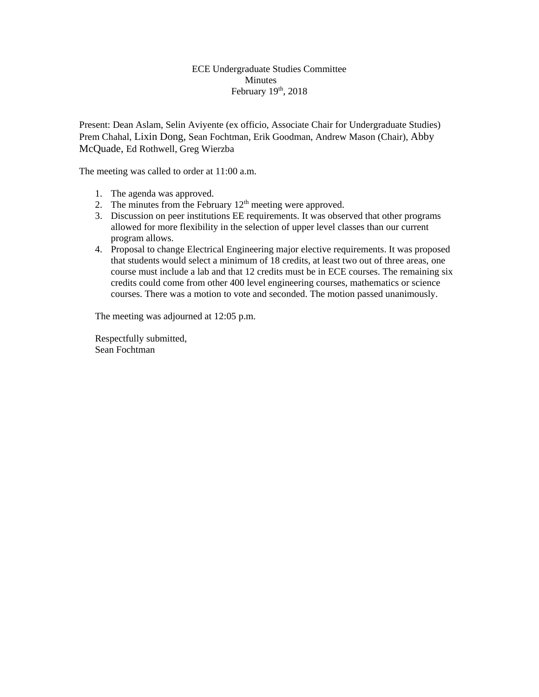#### ECE Undergraduate Studies Committee Minutes February  $19<sup>th</sup>$ , 2018

Present: Dean Aslam, Selin Aviyente (ex officio, Associate Chair for Undergraduate Studies) Prem Chahal, Lixin Dong, Sean Fochtman, Erik Goodman, Andrew Mason (Chair), Abby McQuade, Ed Rothwell, Greg Wierzba

The meeting was called to order at 11:00 a.m.

- 1. The agenda was approved.
- 2. The minutes from the February  $12<sup>th</sup>$  meeting were approved.
- 3. Discussion on peer institutions EE requirements. It was observed that other programs allowed for more flexibility in the selection of upper level classes than our current program allows.
- 4. Proposal to change Electrical Engineering major elective requirements. It was proposed that students would select a minimum of 18 credits, at least two out of three areas, one course must include a lab and that 12 credits must be in ECE courses. The remaining six credits could come from other 400 level engineering courses, mathematics or science courses. There was a motion to vote and seconded. The motion passed unanimously.

The meeting was adjourned at 12:05 p.m.

Respectfully submitted, Sean Fochtman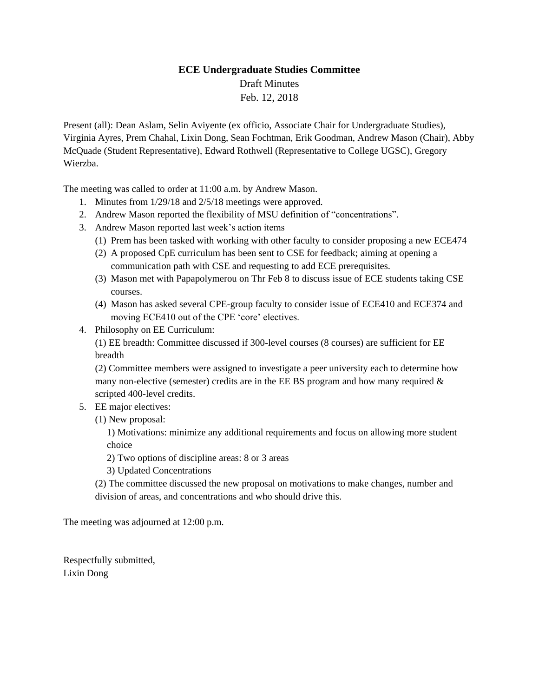# **ECE Undergraduate Studies Committee** Draft Minutes Feb. 12, 2018

Present (all): Dean Aslam, Selin Aviyente (ex officio, Associate Chair for Undergraduate Studies), Virginia Ayres, Prem Chahal, Lixin Dong, Sean Fochtman, Erik Goodman, Andrew Mason (Chair), Abby McQuade (Student Representative), Edward Rothwell (Representative to College UGSC), Gregory Wierzba.

The meeting was called to order at 11:00 a.m. by Andrew Mason.

- 1. Minutes from 1/29/18 and 2/5/18 meetings were approved.
- 2. Andrew Mason reported the flexibility of MSU definition of "concentrations".
- 3. Andrew Mason reported last week's action items
	- (1) Prem has been tasked with working with other faculty to consider proposing a new ECE474
	- (2) A proposed CpE curriculum has been sent to CSE for feedback; aiming at opening a communication path with CSE and requesting to add ECE prerequisites.
	- (3) Mason met with Papapolymerou on Thr Feb 8 to discuss issue of ECE students taking CSE courses.
	- (4) Mason has asked several CPE-group faculty to consider issue of ECE410 and ECE374 and moving ECE410 out of the CPE 'core' electives.
- 4. Philosophy on EE Curriculum:

(1) EE breadth: Committee discussed if 300-level courses (8 courses) are sufficient for EE breadth

(2) Committee members were assigned to investigate a peer university each to determine how many non-elective (semester) credits are in the EE BS program and how many required  $\&$ scripted 400-level credits.

- 5. EE major electives:
	- (1) New proposal:

1) Motivations: minimize any additional requirements and focus on allowing more student choice

2) Two options of discipline areas: 8 or 3 areas

3) Updated Concentrations

(2) The committee discussed the new proposal on motivations to make changes, number and division of areas, and concentrations and who should drive this.

The meeting was adjourned at 12:00 p.m.

Respectfully submitted, Lixin Dong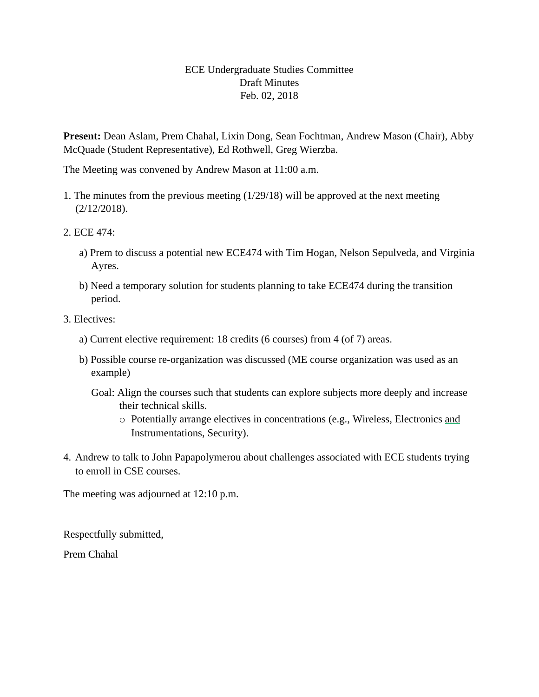## ECE Undergraduate Studies Committee Draft Minutes Feb. 02, 2018

**Present:** Dean Aslam, Prem Chahal, Lixin Dong, Sean Fochtman, Andrew Mason (Chair), Abby McQuade (Student Representative), Ed Rothwell, Greg Wierzba.

The Meeting was convened by Andrew Mason at 11:00 a.m.

- 1. The minutes from the previous meeting (1/29/18) will be approved at the next meeting (2/12/2018).
- 2. ECE 474:
	- a) Prem to discuss a potential new ECE474 with Tim Hogan, Nelson Sepulveda, and Virginia Ayres.
	- b) Need a temporary solution for students planning to take ECE474 during the transition period.
- 3. Electives:
	- a) Current elective requirement: 18 credits (6 courses) from 4 (of 7) areas.
	- b) Possible course re-organization was discussed (ME course organization was used as an example)
		- Goal: Align the courses such that students can explore subjects more deeply and increase their technical skills.
			- o Potentially arrange electives in concentrations (e.g., Wireless, Electronics and Instrumentations, Security).
- 4. Andrew to talk to John Papapolymerou about challenges associated with ECE students trying to enroll in CSE courses.

The meeting was adjourned at 12:10 p.m.

Respectfully submitted,

Prem Chahal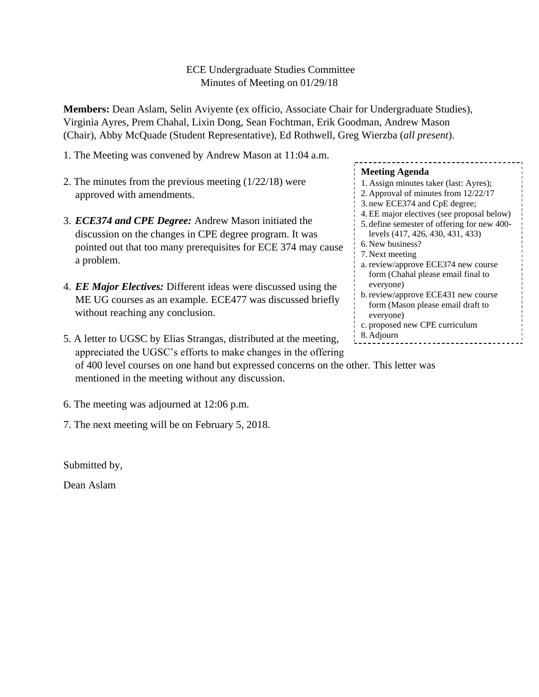## ECE Undergraduate Studies Committee Minutes of Meeting on 01/29/18

**Members:** Dean Aslam, Selin Aviyente (ex officio, Associate Chair for Undergraduate Studies), Virginia Ayres, Prem Chahal, Lixin Dong, Sean Fochtman, Erik Goodman, Andrew Mason (Chair), Abby McQuade (Student Representative), Ed Rothwell, Greg Wierzba (*all present*).

- 1. The Meeting was convened by Andrew Mason at 11:04 a.m.
- 2. The minutes from the previous meeting (1/22/18) were approved with amendments.
- 3. *ECE374 and CPE Degree:* Andrew Mason initiated the discussion on the changes in CPE degree program. It was pointed out that too many prerequisites for ECE 374 may cause a problem.
- 4. *EE Major Electives:* Different ideas were discussed using the ME UG courses as an example. ECE477 was discussed briefly without reaching any conclusion.
- 5. A letter to UGSC by Elias Strangas, distributed at the meeting, appreciated the UGSC's efforts to make changes in the offering of 400 level courses on one hand but expressed concerns on the other. This letter was mentioned in the meeting without any discussion.
- 6. The meeting was adjourned at 12:06 p.m.
- 7. The next meeting will be on February 5, 2018.

Submitted by,

Dean Aslam

**Meeting Agenda** 1. Assign minutes taker (last: Ayres); 2. Approval of minutes from 12/22/17 3. new ECE374 and CpE degree; 4.EE major electives (see proposal below) 5. define semester of offering for new 400 levels (417, 426, 430, 431, 433) 6. New business? 7. Next meeting a. review/approve ECE374 new course form (Chahal please email final to everyone) b.review/approve ECE431 new course form (Mason please email draft to everyone) c. proposed new CPE curriculum 8. Adjourn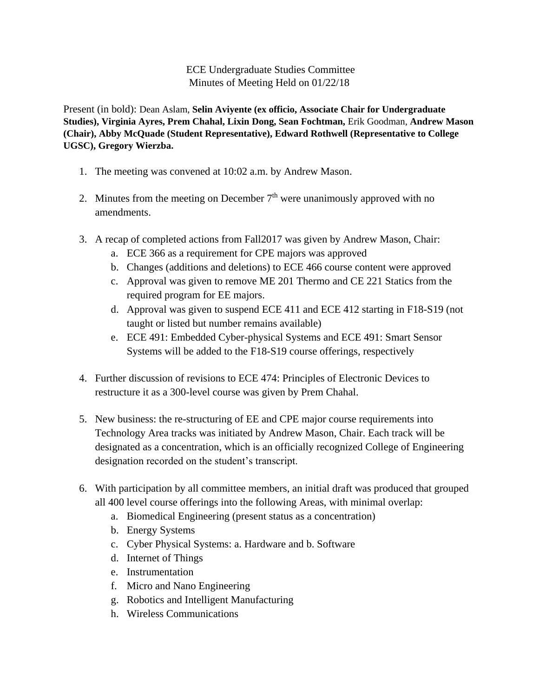ECE Undergraduate Studies Committee Minutes of Meeting Held on 01/22/18

Present (in bold): Dean Aslam, **Selin Aviyente (ex officio, Associate Chair for Undergraduate Studies), Virginia Ayres, Prem Chahal, Lixin Dong, Sean Fochtman,** Erik Goodman, **Andrew Mason (Chair), Abby McQuade (Student Representative), Edward Rothwell (Representative to College UGSC), Gregory Wierzba.**

- 1. The meeting was convened at 10:02 a.m. by Andrew Mason.
- 2. Minutes from the meeting on December  $7<sup>th</sup>$  were unanimously approved with no amendments.
- 3. A recap of completed actions from Fall2017 was given by Andrew Mason, Chair:
	- a. ECE 366 as a requirement for CPE majors was approved
	- b. Changes (additions and deletions) to ECE 466 course content were approved
	- c. Approval was given to remove ME 201 Thermo and CE 221 Statics from the required program for EE majors.
	- d. Approval was given to suspend ECE 411 and ECE 412 starting in F18-S19 (not taught or listed but number remains available)
	- e. ECE 491: Embedded Cyber-physical Systems and ECE 491: Smart Sensor Systems will be added to the F18-S19 course offerings, respectively
- 4. Further discussion of revisions to ECE 474: Principles of Electronic Devices to restructure it as a 300-level course was given by Prem Chahal.
- 5. New business: the re-structuring of EE and CPE major course requirements into Technology Area tracks was initiated by Andrew Mason, Chair. Each track will be designated as a concentration, which is an officially recognized College of Engineering designation recorded on the student's transcript.
- 6. With participation by all committee members, an initial draft was produced that grouped all 400 level course offerings into the following Areas, with minimal overlap:
	- a. Biomedical Engineering (present status as a concentration)
	- b. Energy Systems
	- c. Cyber Physical Systems: a. Hardware and b. Software
	- d. Internet of Things
	- e. Instrumentation
	- f. Micro and Nano Engineering
	- g. Robotics and Intelligent Manufacturing
	- h. Wireless Communications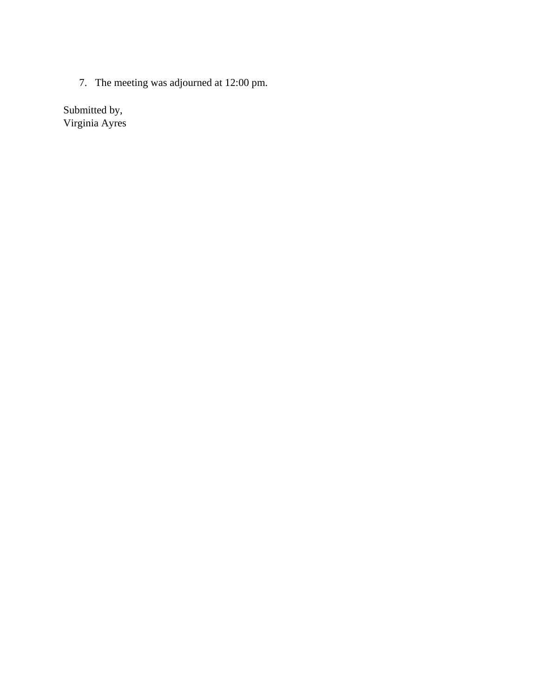7. The meeting was adjourned at 12:00 pm.

Submitted by, Virginia Ayres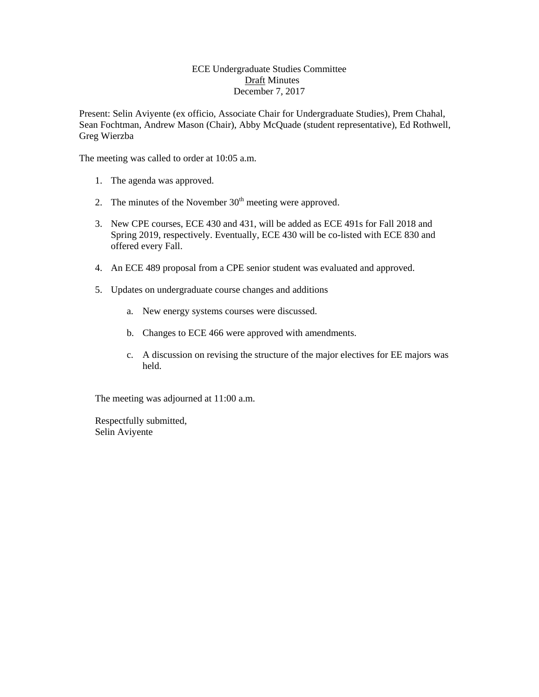#### ECE Undergraduate Studies Committee Draft Minutes December 7, 2017

Present: Selin Aviyente (ex officio, Associate Chair for Undergraduate Studies), Prem Chahal, Sean Fochtman, Andrew Mason (Chair), Abby McQuade (student representative), Ed Rothwell, Greg Wierzba

The meeting was called to order at 10:05 a.m.

- 1. The agenda was approved.
- 2. The minutes of the November  $30<sup>th</sup>$  meeting were approved.
- 3. New CPE courses, ECE 430 and 431, will be added as ECE 491s for Fall 2018 and Spring 2019, respectively. Eventually, ECE 430 will be co-listed with ECE 830 and offered every Fall.
- 4. An ECE 489 proposal from a CPE senior student was evaluated and approved.
- 5. Updates on undergraduate course changes and additions
	- a. New energy systems courses were discussed.
	- b. Changes to ECE 466 were approved with amendments.
	- c. A discussion on revising the structure of the major electives for EE majors was held.

The meeting was adjourned at 11:00 a.m.

Respectfully submitted, Selin Aviyente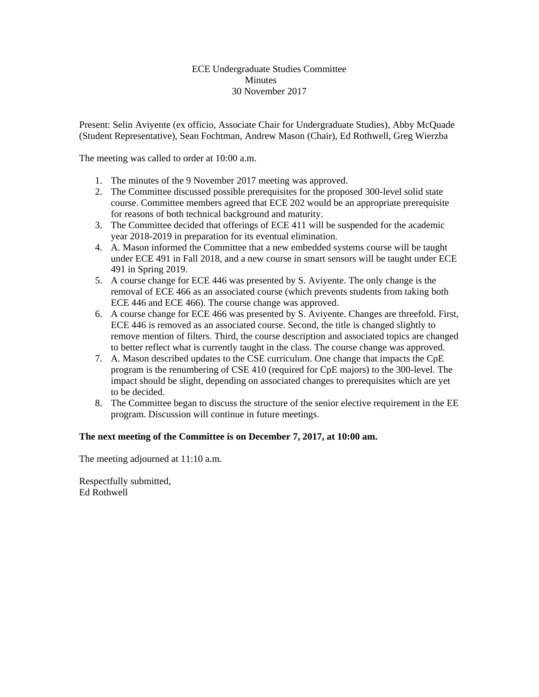#### ECE Undergraduate Studies Committee Minutes 30 November 2017

Present: Selin Aviyente (ex officio, Associate Chair for Undergraduate Studies), Abby McQuade (Student Representative), Sean Fochtman, Andrew Mason (Chair), Ed Rothwell, Greg Wierzba

The meeting was called to order at 10:00 a.m.

- 1. The minutes of the 9 November 2017 meeting was approved.
- 2. The Committee discussed possible prerequisites for the proposed 300-level solid state course. Committee members agreed that ECE 202 would be an appropriate prerequisite for reasons of both technical background and maturity.
- 3. The Committee decided that offerings of ECE 411 will be suspended for the academic year 2018-2019 in preparation for its eventual elimination.
- 4. A. Mason informed the Committee that a new embedded systems course will be taught under ECE 491 in Fall 2018, and a new course in smart sensors will be taught under ECE 491 in Spring 2019.
- 5. A course change for ECE 446 was presented by S. Aviyente. The only change is the removal of ECE 466 as an associated course (which prevents students from taking both ECE 446 and ECE 466). The course change was approved.
- 6. A course change for ECE 466 was presented by S. Aviyente. Changes are threefold. First, ECE 446 is removed as an associated course. Second, the title is changed slightly to remove mention of filters. Third, the course description and associated topics are changed to better reflect what is currently taught in the class. The course change was approved.
- 7. A. Mason described updates to the CSE curriculum. One change that impacts the CpE program is the renumbering of CSE 410 (required for CpE majors) to the 300-level. The impact should be slight, depending on associated changes to prerequisites which are yet to be decided.
- 8. The Committee began to discuss the structure of the senior elective requirement in the EE program. Discussion will continue in future meetings.

### **The next meeting of the Committee is on December 7, 2017, at 10:00 am.**

The meeting adjourned at 11:10 a.m.

Respectfully submitted, Ed Rothwell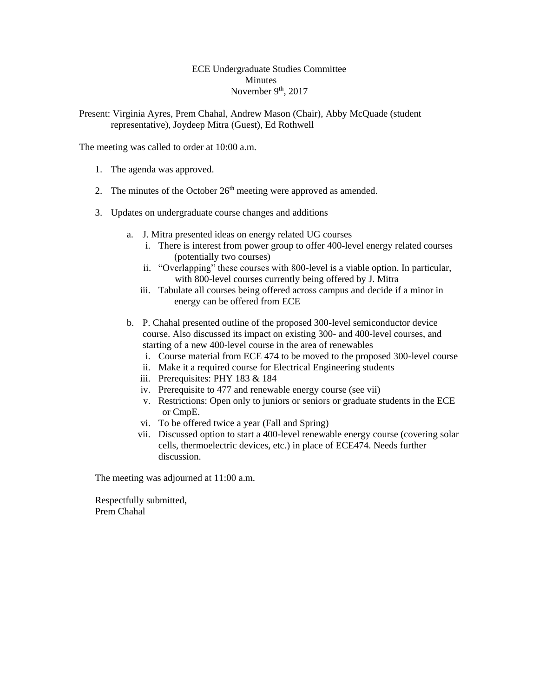#### ECE Undergraduate Studies Committee Minutes November  $9<sup>th</sup>$ , 2017

Present: Virginia Ayres, Prem Chahal, Andrew Mason (Chair), Abby McQuade (student representative), Joydeep Mitra (Guest), Ed Rothwell

The meeting was called to order at 10:00 a.m.

- 1. The agenda was approved.
- 2. The minutes of the October  $26<sup>th</sup>$  meeting were approved as amended.
- 3. Updates on undergraduate course changes and additions
	- a. J. Mitra presented ideas on energy related UG courses
		- i. There is interest from power group to offer 400-level energy related courses (potentially two courses)
		- ii. "Overlapping" these courses with 800-level is a viable option. In particular, with 800-level courses currently being offered by J. Mitra
		- iii. Tabulate all courses being offered across campus and decide if a minor in energy can be offered from ECE
	- b. P. Chahal presented outline of the proposed 300-level semiconductor device course. Also discussed its impact on existing 300- and 400-level courses, and starting of a new 400-level course in the area of renewables
		- i. Course material from ECE 474 to be moved to the proposed 300-level course
		- ii. Make it a required course for Electrical Engineering students
		- iii. Prerequisites: PHY 183 & 184
		- iv. Prerequisite to 477 and renewable energy course (see vii)
		- v. Restrictions: Open only to juniors or seniors or graduate students in the ECE or CmpE.
		- vi. To be offered twice a year (Fall and Spring)
		- vii. Discussed option to start a 400-level renewable energy course (covering solar cells, thermoelectric devices, etc.) in place of ECE474. Needs further discussion.

The meeting was adjourned at 11:00 a.m.

Respectfully submitted, Prem Chahal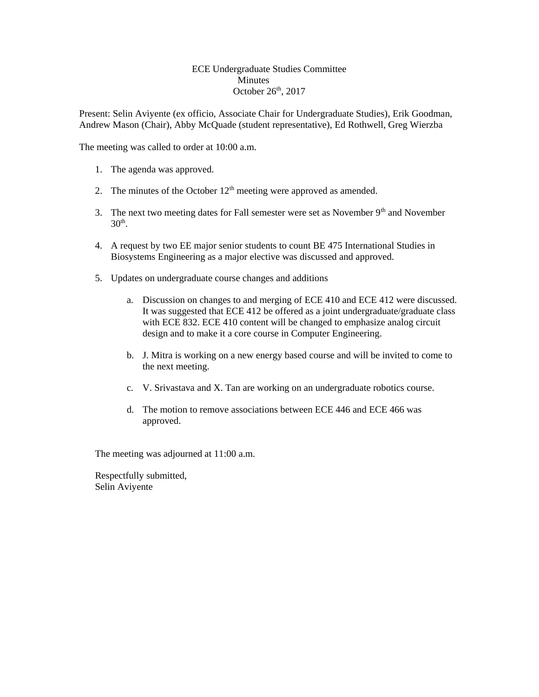#### ECE Undergraduate Studies Committee **Minutes** October  $26<sup>th</sup>$ , 2017

Present: Selin Aviyente (ex officio, Associate Chair for Undergraduate Studies), Erik Goodman, Andrew Mason (Chair), Abby McQuade (student representative), Ed Rothwell, Greg Wierzba

The meeting was called to order at 10:00 a.m.

- 1. The agenda was approved.
- 2. The minutes of the October  $12<sup>th</sup>$  meeting were approved as amended.
- 3. The next two meeting dates for Fall semester were set as November  $9<sup>th</sup>$  and November  $30<sup>th</sup>$ .
- 4. A request by two EE major senior students to count BE 475 International Studies in Biosystems Engineering as a major elective was discussed and approved.
- 5. Updates on undergraduate course changes and additions
	- a. Discussion on changes to and merging of ECE 410 and ECE 412 were discussed. It was suggested that ECE 412 be offered as a joint undergraduate/graduate class with ECE 832. ECE 410 content will be changed to emphasize analog circuit design and to make it a core course in Computer Engineering.
	- b. J. Mitra is working on a new energy based course and will be invited to come to the next meeting.
	- c. V. Srivastava and X. Tan are working on an undergraduate robotics course.
	- d. The motion to remove associations between ECE 446 and ECE 466 was approved.

The meeting was adjourned at 11:00 a.m.

Respectfully submitted, Selin Aviyente